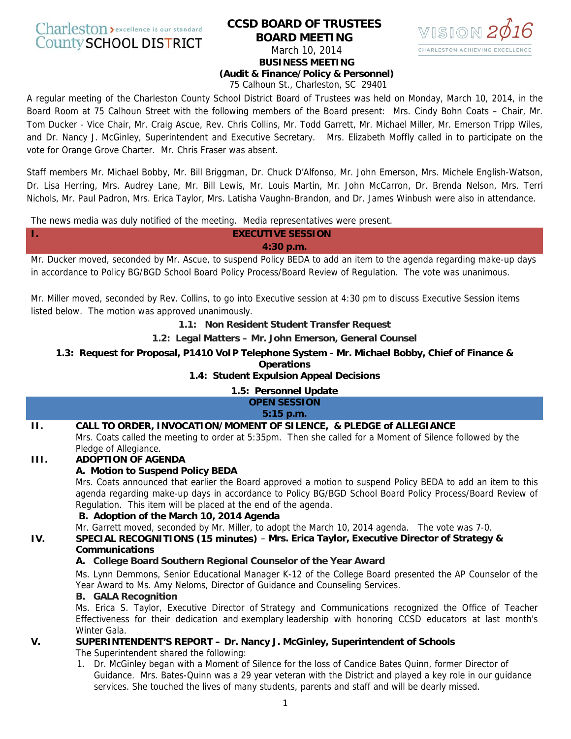# Charleston > excellence is our standard **County SCHOOL DISTRICT**

# **CCSD BOARD OF TRUSTEES BOARD MEETING**  March 10, 2014 **BUSINESS MEETING**



**(Audit & Finance/Policy & Personnel)** 

75 Calhoun St., Charleston, SC 29401

A regular meeting of the Charleston County School District Board of Trustees was held on Monday, March 10, 2014, in the Board Room at 75 Calhoun Street with the following members of the Board present: Mrs. Cindy Bohn Coats – Chair, Mr. Tom Ducker - Vice Chair, Mr. Craig Ascue, Rev. Chris Collins, Mr. Todd Garrett, Mr. Michael Miller, Mr. Emerson Tripp Wiles, and Dr. Nancy J. McGinley, Superintendent and Executive Secretary. Mrs. Elizabeth Moffly called in to participate on the vote for Orange Grove Charter. Mr. Chris Fraser was absent.

Staff members Mr. Michael Bobby, Mr. Bill Briggman, Dr. Chuck D'Alfonso, Mr. John Emerson, Mrs. Michele English-Watson, Dr. Lisa Herring, Mrs. Audrey Lane, Mr. Bill Lewis, Mr. Louis Martin, Mr. John McCarron, Dr. Brenda Nelson, Mrs. Terri Nichols, Mr. Paul Padron, Mrs. Erica Taylor, Mrs. Latisha Vaughn-Brandon, and Dr. James Winbush were also in attendance.

The news media was duly notified of the meeting. Media representatives were present.

# **I. EXECUTIVE SESSION 4:30 p.m.**

Mr. Ducker moved, seconded by Mr. Ascue, to suspend Policy BEDA to add an item to the agenda regarding make-up days in accordance to Policy BG/BGD School Board Policy Process/Board Review of Regulation. The vote was unanimous.

Mr. Miller moved, seconded by Rev. Collins, to go into Executive session at 4:30 pm to discuss Executive Session items listed below. The motion was approved unanimously.

**1.1: Non Resident Student Transfer Request**

**1.2: Legal Matters – Mr. John Emerson, General Counsel**

**1.3: Request for Proposal, P1410 VoIP Telephone System - Mr. Michael Bobby, Chief of Finance & Operations**

# **1.4: Student Expulsion Appeal Decisions**

#### **1.5: Personnel Update OPEN SESSION 5:15 p.m.**

# **II. CALL TO ORDER, INVOCATION/MOMENT OF SILENCE, & PLEDGE of ALLEGIANCE**

Mrs. Coats called the meeting to order at 5:35pm. Then she called for a Moment of Silence followed by the Pledge of Allegiance.

# **III. ADOPTION OF AGENDA**

# **A. Motion to Suspend Policy BEDA**

Mrs. Coats announced that earlier the Board approved a motion to suspend Policy BEDA to add an item to this agenda regarding make-up days in accordance to Policy BG/BGD School Board Policy Process/Board Review of Regulation. This item will be placed at the end of the agenda.

# **B. Adoption of the March 10, 2014 Agenda**

Mr. Garrett moved, seconded by Mr. Miller, to adopt the March 10, 2014 agenda. The vote was 7-0.

# **IV. SPECIAL RECOGNITIONS (15 minutes)** – **Mrs. Erica Taylor, Executive Director of Strategy & Communications**

# **A. College Board Southern Regional Counselor of the Year Award**

Ms. Lynn Demmons, Senior Educational Manager K-12 of the College Board presented the AP Counselor of the Year Award to Ms. Amy Neloms, Director of Guidance and Counseling Services.

# **B. GALA Recognition**

Ms. Erica S. Taylor, Executive Director of Strategy and Communications recognized the Office of Teacher Effectiveness for their dedication and exemplary leadership with honoring CCSD educators at last month's Winter Gala.

# **V. SUPERINTENDENT'S REPORT – Dr. Nancy J. McGinley, Superintendent of Schools**

The Superintendent shared the following:

1. Dr. McGinley began with a Moment of Silence for the loss of Candice Bates Quinn, former Director of Guidance. Mrs. Bates-Quinn was a 29 year veteran with the District and played a key role in our guidance services. She touched the lives of many students, parents and staff and will be dearly missed.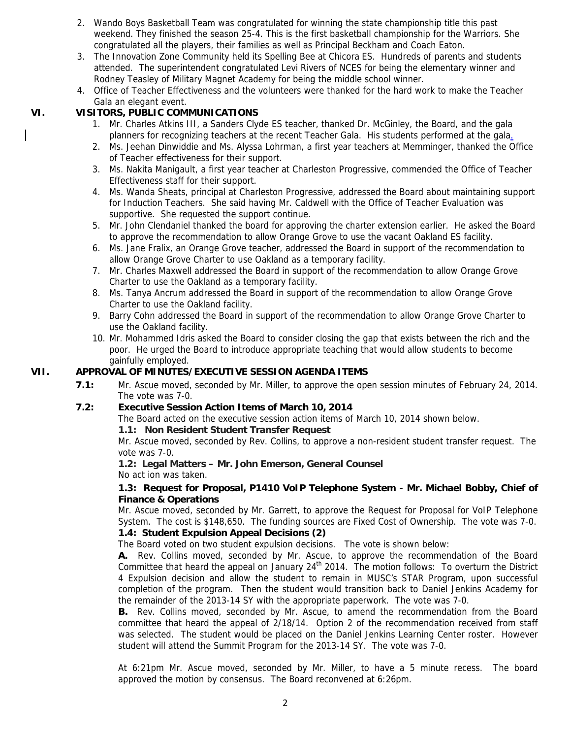- 2. Wando Boys Basketball Team was congratulated for winning the state championship title this past weekend. They finished the season 25-4. This is the first basketball championship for the Warriors. She congratulated all the players, their families as well as Principal Beckham and Coach Eaton.
- 3. The Innovation Zone Community held its Spelling Bee at Chicora ES. Hundreds of parents and students attended. The superintendent congratulated Levi Rivers of NCES for being the elementary winner and Rodney Teasley of Military Magnet Academy for being the middle school winner.
- 4. Office of Teacher Effectiveness and the volunteers were thanked for the hard work to make the Teacher Gala an elegant event.

# **VI. VISITORS, PUBLIC COMMUNICATIONS**

- 1. Mr. Charles Atkins III, a Sanders Clyde ES teacher, thanked Dr. McGinley, the Board, and the gala planners for recognizing teachers at the recent Teacher Gala. His students performed at the gala.
- 2. Ms. Jeehan Dinwiddie and Ms. Alyssa Lohrman, a first year teachers at Memminger, thanked the Office of Teacher effectiveness for their support.
- 3. Ms. Nakita Manigault, a first year teacher at Charleston Progressive, commended the Office of Teacher Effectiveness staff for their support.
- 4. Ms. Wanda Sheats, principal at Charleston Progressive, addressed the Board about maintaining support for Induction Teachers. She said having Mr. Caldwell with the Office of Teacher Evaluation was supportive. She requested the support continue.
- 5. Mr. John Clendaniel thanked the board for approving the charter extension earlier. He asked the Board to approve the recommendation to allow Orange Grove to use the vacant Oakland ES facility.
- 6. Ms. Jane Fralix, an Orange Grove teacher, addressed the Board in support of the recommendation to allow Orange Grove Charter to use Oakland as a temporary facility.
- 7. Mr. Charles Maxwell addressed the Board in support of the recommendation to allow Orange Grove Charter to use the Oakland as a temporary facility.
- 8. Ms. Tanya Ancrum addressed the Board in support of the recommendation to allow Orange Grove Charter to use the Oakland facility.
- 9. Barry Cohn addressed the Board in support of the recommendation to allow Orange Grove Charter to use the Oakland facility.
- 10. Mr. Mohammed Idris asked the Board to consider closing the gap that exists between the rich and the poor. He urged the Board to introduce appropriate teaching that would allow students to become gainfully employed.

# **VII. APPROVAL OF MINUTES/EXECUTIVE SESSION AGENDA ITEMS**

**7.1:** Mr. Ascue moved, seconded by Mr. Miller, to approve the open session minutes of February 24, 2014. The vote was 7-0.

# **7.2: Executive Session Action Items of March 10, 2014**

The Board acted on the executive session action items of March 10, 2014 shown below.

#### **1.1: Non Resident Student Transfer Request**

Mr. Ascue moved, seconded by Rev. Collins, to approve a non-resident student transfer request. The vote was 7-0.

#### **1.2: Legal Matters – Mr. John Emerson, General Counsel**  No act ion was taken.

# **1.3: Request for Proposal, P1410 VoIP Telephone System - Mr. Michael Bobby, Chief of Finance & Operations**

Mr. Ascue moved, seconded by Mr. Garrett, to approve the Request for Proposal for VoIP Telephone System. The cost is \$148,650. The funding sources are Fixed Cost of Ownership. The vote was 7-0.

# **1.4: Student Expulsion Appeal Decisions (2)**

The Board voted on two student expulsion decisions. The vote is shown below:

**A.** Rev. Collins moved, seconded by Mr. Ascue, to approve the recommendation of the Board Committee that heard the appeal on January  $24<sup>th</sup>$  2014. The motion follows: To overturn the District 4 Expulsion decision and allow the student to remain in MUSC's STAR Program, upon successful completion of the program. Then the student would transition back to Daniel Jenkins Academy for the remainder of the 2013-14 SY with the appropriate paperwork. The vote was 7-0.

**B.** Rev. Collins moved, seconded by Mr. Ascue, to amend the recommendation from the Board committee that heard the appeal of 2/18/14. Option 2 of the recommendation received from staff was selected. The student would be placed on the Daniel Jenkins Learning Center roster. However student will attend the Summit Program for the 2013-14 SY. The vote was 7-0.

At 6:21pm Mr. Ascue moved, seconded by Mr. Miller, to have a 5 minute recess. The board approved the motion by consensus. The Board reconvened at 6:26pm.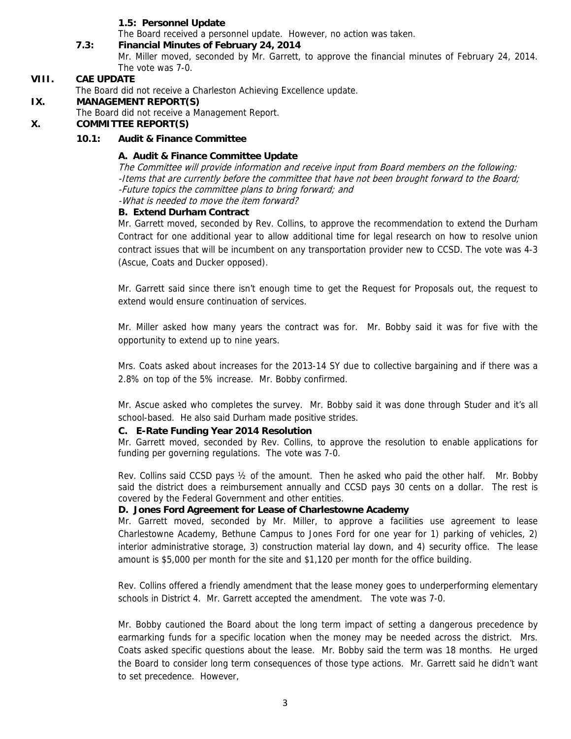## **1.5: Personnel Update**

The Board received a personnel update. However, no action was taken.

#### **7.3: Financial Minutes of February 24, 2014**

Mr. Miller moved, seconded by Mr. Garrett, to approve the financial minutes of February 24, 2014. The vote was 7-0.

#### **VIII. CAE UPDATE**

The Board did not receive a Charleston Achieving Excellence update.

#### **IX. MANAGEMENT REPORT(S)**

The Board did not receive a Management Report.

## **X. COMMITTEE REPORT(S)**

#### **10.1: Audit & Finance Committee**

## **A. Audit & Finance Committee Update**

The Committee will provide information and receive input from Board members on the following: -Items that are currently before the committee that have not been brought forward to the Board; -Future topics the committee plans to bring forward; and -What is needed to move the item forward?

## **B. Extend Durham Contract**

Mr. Garrett moved, seconded by Rev. Collins, to approve the recommendation to extend the Durham Contract for one additional year to allow additional time for legal research on how to resolve union contract issues that will be incumbent on any transportation provider new to CCSD. The vote was 4-3 (Ascue, Coats and Ducker opposed).

Mr. Garrett said since there isn't enough time to get the Request for Proposals out, the request to extend would ensure continuation of services.

Mr. Miller asked how many years the contract was for. Mr. Bobby said it was for five with the opportunity to extend up to nine years.

Mrs. Coats asked about increases for the 2013-14 SY due to collective bargaining and if there was a 2.8% on top of the 5% increase. Mr. Bobby confirmed.

Mr. Ascue asked who completes the survey. Mr. Bobby said it was done through Studer and it's all school-based. He also said Durham made positive strides.

#### **C. E-Rate Funding Year 2014 Resolution**

Mr. Garrett moved, seconded by Rev. Collins, to approve the resolution to enable applications for funding per governing regulations. The vote was 7-0.

Rev. Collins said CCSD pays ½ of the amount. Then he asked who paid the other half. Mr. Bobby said the district does a reimbursement annually and CCSD pays 30 cents on a dollar. The rest is covered by the Federal Government and other entities.

#### **D. Jones Ford Agreement for Lease of Charlestowne Academy**

Mr. Garrett moved, seconded by Mr. Miller, to approve a facilities use agreement to lease Charlestowne Academy, Bethune Campus to Jones Ford for one year for 1) parking of vehicles, 2) interior administrative storage, 3) construction material lay down, and 4) security office. The lease amount is \$5,000 per month for the site and \$1,120 per month for the office building.

Rev. Collins offered a friendly amendment that the lease money goes to underperforming elementary schools in District 4. Mr. Garrett accepted the amendment. The vote was 7-0.

Mr. Bobby cautioned the Board about the long term impact of setting a dangerous precedence by earmarking funds for a specific location when the money may be needed across the district. Mrs. Coats asked specific questions about the lease. Mr. Bobby said the term was 18 months. He urged the Board to consider long term consequences of those type actions. Mr. Garrett said he didn't want to set precedence. However,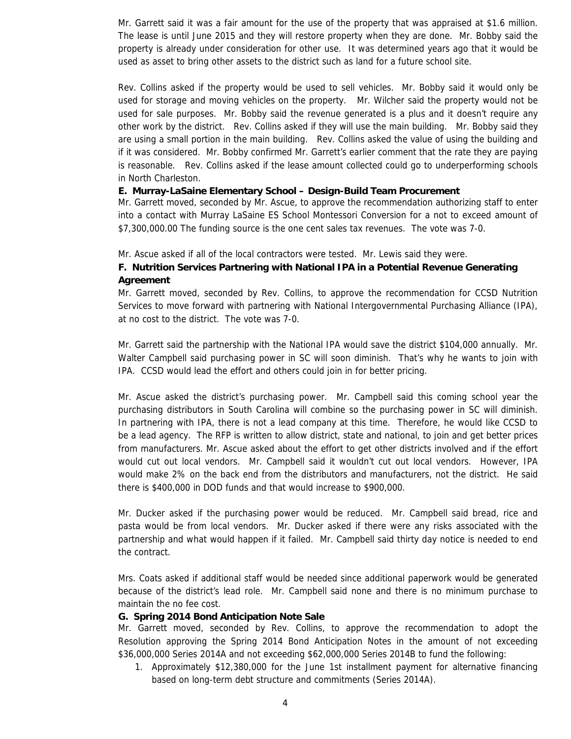Mr. Garrett said it was a fair amount for the use of the property that was appraised at \$1.6 million. The lease is until June 2015 and they will restore property when they are done. Mr. Bobby said the property is already under consideration for other use. It was determined years ago that it would be used as asset to bring other assets to the district such as land for a future school site.

Rev. Collins asked if the property would be used to sell vehicles. Mr. Bobby said it would only be used for storage and moving vehicles on the property. Mr. Wilcher said the property would not be used for sale purposes. Mr. Bobby said the revenue generated is a plus and it doesn't require any other work by the district. Rev. Collins asked if they will use the main building. Mr. Bobby said they are using a small portion in the main building. Rev. Collins asked the value of using the building and if it was considered. Mr. Bobby confirmed Mr. Garrett's earlier comment that the rate they are paying is reasonable. Rev. Collins asked if the lease amount collected could go to underperforming schools in North Charleston.

#### **E. Murray-LaSaine Elementary School – Design-Build Team Procurement**

Mr. Garrett moved, seconded by Mr. Ascue, to approve the recommendation authorizing staff to enter into a contact with Murray LaSaine ES School Montessori Conversion for a not to exceed amount of \$7,300,000.00 The funding source is the one cent sales tax revenues. The vote was 7-0.

Mr. Ascue asked if all of the local contractors were tested. Mr. Lewis said they were.

# **F. Nutrition Services Partnering with National IPA in a Potential Revenue Generating Agreement**

Mr. Garrett moved, seconded by Rev. Collins, to approve the recommendation for CCSD Nutrition Services to move forward with partnering with National Intergovernmental Purchasing Alliance (IPA), at no cost to the district. The vote was 7-0.

Mr. Garrett said the partnership with the National IPA would save the district \$104,000 annually. Mr. Walter Campbell said purchasing power in SC will soon diminish. That's why he wants to join with IPA. CCSD would lead the effort and others could join in for better pricing.

Mr. Ascue asked the district's purchasing power. Mr. Campbell said this coming school year the purchasing distributors in South Carolina will combine so the purchasing power in SC will diminish. In partnering with IPA, there is not a lead company at this time. Therefore, he would like CCSD to be a lead agency. The RFP is written to allow district, state and national, to join and get better prices from manufacturers. Mr. Ascue asked about the effort to get other districts involved and if the effort would cut out local vendors. Mr. Campbell said it wouldn't cut out local vendors. However, IPA would make 2% on the back end from the distributors and manufacturers, not the district. He said there is \$400,000 in DOD funds and that would increase to \$900,000.

Mr. Ducker asked if the purchasing power would be reduced. Mr. Campbell said bread, rice and pasta would be from local vendors. Mr. Ducker asked if there were any risks associated with the partnership and what would happen if it failed. Mr. Campbell said thirty day notice is needed to end the contract.

Mrs. Coats asked if additional staff would be needed since additional paperwork would be generated because of the district's lead role. Mr. Campbell said none and there is no minimum purchase to maintain the no fee cost.

#### **G. Spring 2014 Bond Anticipation Note Sale**

Mr. Garrett moved, seconded by Rev. Collins, to approve the recommendation to adopt the Resolution approving the Spring 2014 Bond Anticipation Notes in the amount of not exceeding \$36,000,000 Series 2014A and not exceeding \$62,000,000 Series 2014B to fund the following:

1. Approximately \$12,380,000 for the June 1st installment payment for alternative financing based on long-term debt structure and commitments (Series 2014A).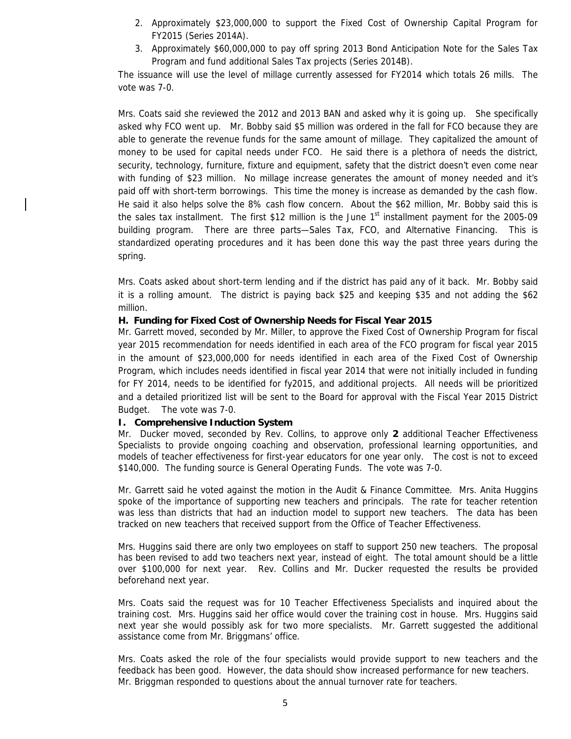- 2. Approximately \$23,000,000 to support the Fixed Cost of Ownership Capital Program for FY2015 (Series 2014A).
- 3. Approximately \$60,000,000 to pay off spring 2013 Bond Anticipation Note for the Sales Tax Program and fund additional Sales Tax projects (Series 2014B).

The issuance will use the level of millage currently assessed for FY2014 which totals 26 mills. The vote was 7-0.

Mrs. Coats said she reviewed the 2012 and 2013 BAN and asked why it is going up. She specifically asked why FCO went up. Mr. Bobby said \$5 million was ordered in the fall for FCO because they are able to generate the revenue funds for the same amount of millage. They capitalized the amount of money to be used for capital needs under FCO. He said there is a plethora of needs the district, security, technology, furniture, fixture and equipment, safety that the district doesn't even come near with funding of \$23 million. No millage increase generates the amount of money needed and it's paid off with short-term borrowings. This time the money is increase as demanded by the cash flow. He said it also helps solve the 8% cash flow concern. About the \$62 million, Mr. Bobby said this is the sales tax installment. The first \$12 million is the June  $1<sup>st</sup>$  installment payment for the 2005-09 building program. There are three parts—Sales Tax, FCO, and Alternative Financing. This is standardized operating procedures and it has been done this way the past three years during the spring.

Mrs. Coats asked about short-term lending and if the district has paid any of it back. Mr. Bobby said it is a rolling amount. The district is paying back \$25 and keeping \$35 and not adding the \$62 million.

## **H. Funding for Fixed Cost of Ownership Needs for Fiscal Year 2015**

Mr. Garrett moved, seconded by Mr. Miller, to approve the Fixed Cost of Ownership Program for fiscal year 2015 recommendation for needs identified in each area of the FCO program for fiscal year 2015 in the amount of \$23,000,000 for needs identified in each area of the Fixed Cost of Ownership Program, which includes needs identified in fiscal year 2014 that were not initially included in funding for FY 2014, needs to be identified for fy2015, and additional projects. All needs will be prioritized and a detailed prioritized list will be sent to the Board for approval with the Fiscal Year 2015 District Budget. The vote was 7-0.

#### **I. Comprehensive Induction System**

Mr. Ducker moved, seconded by Rev. Collins, to approve only **2** additional Teacher Effectiveness Specialists to provide ongoing coaching and observation, professional learning opportunities, and models of teacher effectiveness for first-year educators for one year only. The cost is not to exceed \$140,000. The funding source is General Operating Funds. The vote was 7-0.

Mr. Garrett said he voted against the motion in the Audit & Finance Committee. Mrs. Anita Huggins spoke of the importance of supporting new teachers and principals. The rate for teacher retention was less than districts that had an induction model to support new teachers. The data has been tracked on new teachers that received support from the Office of Teacher Effectiveness.

Mrs. Huggins said there are only two employees on staff to support 250 new teachers. The proposal has been revised to add two teachers next year, instead of eight. The total amount should be a little over \$100,000 for next year. Rev. Collins and Mr. Ducker requested the results be provided beforehand next year.

Mrs. Coats said the request was for 10 Teacher Effectiveness Specialists and inquired about the training cost. Mrs. Huggins said her office would cover the training cost in house. Mrs. Huggins said next year she would possibly ask for two more specialists. Mr. Garrett suggested the additional assistance come from Mr. Briggmans' office.

Mrs. Coats asked the role of the four specialists would provide support to new teachers and the feedback has been good. However, the data should show increased performance for new teachers. Mr. Briggman responded to questions about the annual turnover rate for teachers.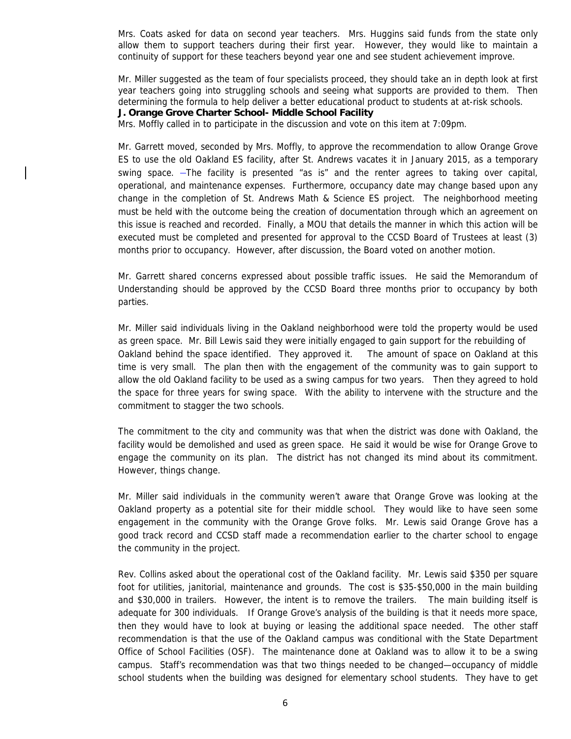Mrs. Coats asked for data on second year teachers. Mrs. Huggins said funds from the state only allow them to support teachers during their first year. However, they would like to maintain a continuity of support for these teachers beyond year one and see student achievement improve.

Mr. Miller suggested as the team of four specialists proceed, they should take an in depth look at first year teachers going into struggling schools and seeing what supports are provided to them. Then determining the formula to help deliver a better educational product to students at at-risk schools.

**J. Orange Grove Charter School- Middle School Facility**

Mrs. Moffly called in to participate in the discussion and vote on this item at 7:09pm.

Mr. Garrett moved, seconded by Mrs. Moffly, to approve the recommendation to allow Orange Grove ES to use the old Oakland ES facility, after St. Andrews vacates it in January 2015, as a temporary swing space.  $-$ The facility is presented "as is" and the renter agrees to taking over capital, operational, and maintenance expenses. Furthermore, occupancy date may change based upon any change in the completion of St. Andrews Math & Science ES project. The neighborhood meeting must be held with the outcome being the creation of documentation through which an agreement on this issue is reached and recorded. Finally, a MOU that details the manner in which this action will be executed must be completed and presented for approval to the CCSD Board of Trustees at least (3) months prior to occupancy. However, after discussion, the Board voted on another motion.

Mr. Garrett shared concerns expressed about possible traffic issues. He said the Memorandum of Understanding should be approved by the CCSD Board three months prior to occupancy by both parties.

Mr. Miller said individuals living in the Oakland neighborhood were told the property would be used as green space. Mr. Bill Lewis said they were initially engaged to gain support for the rebuilding of Oakland behind the space identified. They approved it. The amount of space on Oakland at this time is very small. The plan then with the engagement of the community was to gain support to allow the old Oakland facility to be used as a swing campus for two years. Then they agreed to hold the space for three years for swing space. With the ability to intervene with the structure and the commitment to stagger the two schools.

The commitment to the city and community was that when the district was done with Oakland, the facility would be demolished and used as green space. He said it would be wise for Orange Grove to engage the community on its plan. The district has not changed its mind about its commitment. However, things change.

Mr. Miller said individuals in the community weren't aware that Orange Grove was looking at the Oakland property as a potential site for their middle school. They would like to have seen some engagement in the community with the Orange Grove folks. Mr. Lewis said Orange Grove has a good track record and CCSD staff made a recommendation earlier to the charter school to engage the community in the project.

Rev. Collins asked about the operational cost of the Oakland facility. Mr. Lewis said \$350 per square foot for utilities, janitorial, maintenance and grounds. The cost is \$35-\$50,000 in the main building and \$30,000 in trailers. However, the intent is to remove the trailers. The main building itself is adequate for 300 individuals. If Orange Grove's analysis of the building is that it needs more space, then they would have to look at buying or leasing the additional space needed. The other staff recommendation is that the use of the Oakland campus was conditional with the State Department Office of School Facilities (OSF). The maintenance done at Oakland was to allow it to be a swing campus. Staff's recommendation was that two things needed to be changed—occupancy of middle school students when the building was designed for elementary school students. They have to get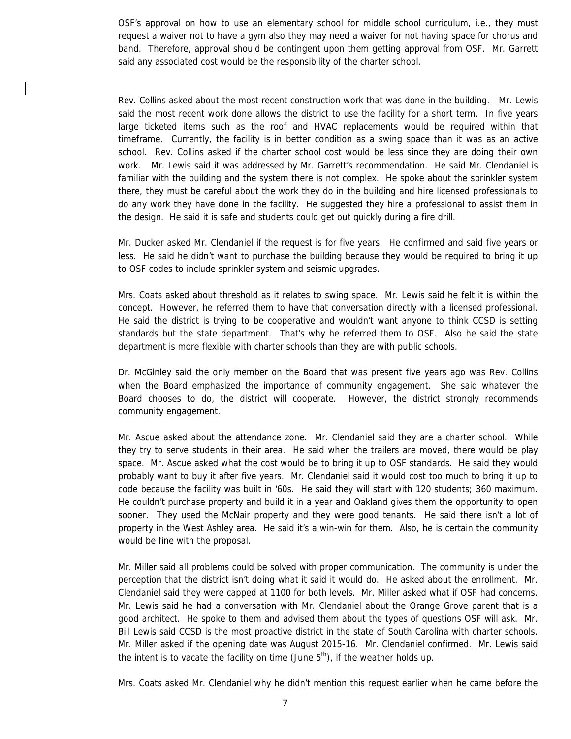OSF's approval on how to use an elementary school for middle school curriculum, i.e., they must request a waiver not to have a gym also they may need a waiver for not having space for chorus and band. Therefore, approval should be contingent upon them getting approval from OSF. Mr. Garrett said any associated cost would be the responsibility of the charter school.

Rev. Collins asked about the most recent construction work that was done in the building. Mr. Lewis said the most recent work done allows the district to use the facility for a short term. In five years large ticketed items such as the roof and HVAC replacements would be required within that timeframe. Currently, the facility is in better condition as a swing space than it was as an active school. Rev. Collins asked if the charter school cost would be less since they are doing their own work. Mr. Lewis said it was addressed by Mr. Garrett's recommendation. He said Mr. Clendaniel is familiar with the building and the system there is not complex. He spoke about the sprinkler system there, they must be careful about the work they do in the building and hire licensed professionals to do any work they have done in the facility. He suggested they hire a professional to assist them in the design. He said it is safe and students could get out quickly during a fire drill.

Mr. Ducker asked Mr. Clendaniel if the request is for five years. He confirmed and said five years or less. He said he didn't want to purchase the building because they would be required to bring it up to OSF codes to include sprinkler system and seismic upgrades.

Mrs. Coats asked about threshold as it relates to swing space. Mr. Lewis said he felt it is within the concept. However, he referred them to have that conversation directly with a licensed professional. He said the district is trying to be cooperative and wouldn't want anyone to think CCSD is setting standards but the state department. That's why he referred them to OSF. Also he said the state department is more flexible with charter schools than they are with public schools.

Dr. McGinley said the only member on the Board that was present five years ago was Rev. Collins when the Board emphasized the importance of community engagement. She said whatever the Board chooses to do, the district will cooperate. However, the district strongly recommends community engagement.

Mr. Ascue asked about the attendance zone. Mr. Clendaniel said they are a charter school. While they try to serve students in their area. He said when the trailers are moved, there would be play space. Mr. Ascue asked what the cost would be to bring it up to OSF standards. He said they would probably want to buy it after five years. Mr. Clendaniel said it would cost too much to bring it up to code because the facility was built in '60s. He said they will start with 120 students; 360 maximum. He couldn't purchase property and build it in a year and Oakland gives them the opportunity to open sooner. They used the McNair property and they were good tenants. He said there isn't a lot of property in the West Ashley area. He said it's a win-win for them. Also, he is certain the community would be fine with the proposal.

Mr. Miller said all problems could be solved with proper communication. The community is under the perception that the district isn't doing what it said it would do. He asked about the enrollment. Mr. Clendaniel said they were capped at 1100 for both levels. Mr. Miller asked what if OSF had concerns. Mr. Lewis said he had a conversation with Mr. Clendaniel about the Orange Grove parent that is a good architect. He spoke to them and advised them about the types of questions OSF will ask. Mr. Bill Lewis said CCSD is the most proactive district in the state of South Carolina with charter schools. Mr. Miller asked if the opening date was August 2015-16. Mr. Clendaniel confirmed. Mr. Lewis said the intent is to vacate the facility on time (June  $5<sup>th</sup>$ ), if the weather holds up.

Mrs. Coats asked Mr. Clendaniel why he didn't mention this request earlier when he came before the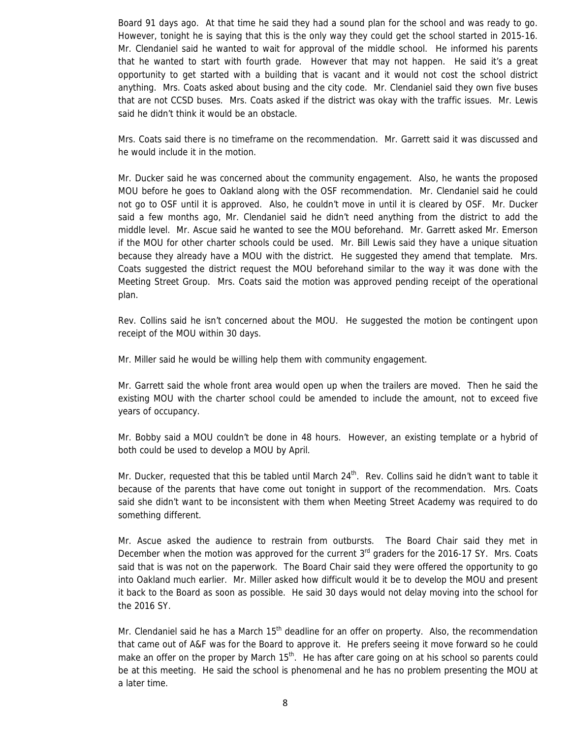Board 91 days ago. At that time he said they had a sound plan for the school and was ready to go. However, tonight he is saying that this is the only way they could get the school started in 2015-16. Mr. Clendaniel said he wanted to wait for approval of the middle school. He informed his parents that he wanted to start with fourth grade. However that may not happen. He said it's a great opportunity to get started with a building that is vacant and it would not cost the school district anything. Mrs. Coats asked about busing and the city code. Mr. Clendaniel said they own five buses that are not CCSD buses. Mrs. Coats asked if the district was okay with the traffic issues. Mr. Lewis said he didn't think it would be an obstacle.

Mrs. Coats said there is no timeframe on the recommendation. Mr. Garrett said it was discussed and he would include it in the motion.

Mr. Ducker said he was concerned about the community engagement. Also, he wants the proposed MOU before he goes to Oakland along with the OSF recommendation. Mr. Clendaniel said he could not go to OSF until it is approved. Also, he couldn't move in until it is cleared by OSF. Mr. Ducker said a few months ago, Mr. Clendaniel said he didn't need anything from the district to add the middle level. Mr. Ascue said he wanted to see the MOU beforehand. Mr. Garrett asked Mr. Emerson if the MOU for other charter schools could be used. Mr. Bill Lewis said they have a unique situation because they already have a MOU with the district. He suggested they amend that template. Mrs. Coats suggested the district request the MOU beforehand similar to the way it was done with the Meeting Street Group. Mrs. Coats said the motion was approved pending receipt of the operational plan.

Rev. Collins said he isn't concerned about the MOU. He suggested the motion be contingent upon receipt of the MOU within 30 days.

Mr. Miller said he would be willing help them with community engagement.

Mr. Garrett said the whole front area would open up when the trailers are moved. Then he said the existing MOU with the charter school could be amended to include the amount, not to exceed five years of occupancy.

Mr. Bobby said a MOU couldn't be done in 48 hours. However, an existing template or a hybrid of both could be used to develop a MOU by April.

Mr. Ducker, requested that this be tabled until March  $24<sup>th</sup>$ . Rev. Collins said he didn't want to table it because of the parents that have come out tonight in support of the recommendation. Mrs. Coats said she didn't want to be inconsistent with them when Meeting Street Academy was required to do something different.

Mr. Ascue asked the audience to restrain from outbursts. The Board Chair said they met in December when the motion was approved for the current 3<sup>rd</sup> graders for the 2016-17 SY. Mrs. Coats said that is was not on the paperwork. The Board Chair said they were offered the opportunity to go into Oakland much earlier. Mr. Miller asked how difficult would it be to develop the MOU and present it back to the Board as soon as possible. He said 30 days would not delay moving into the school for the 2016 SY.

Mr. Clendaniel said he has a March  $15<sup>th</sup>$  deadline for an offer on property. Also, the recommendation that came out of A&F was for the Board to approve it. He prefers seeing it move forward so he could make an offer on the proper by March 15<sup>th</sup>. He has after care going on at his school so parents could be at this meeting. He said the school is phenomenal and he has no problem presenting the MOU at a later time.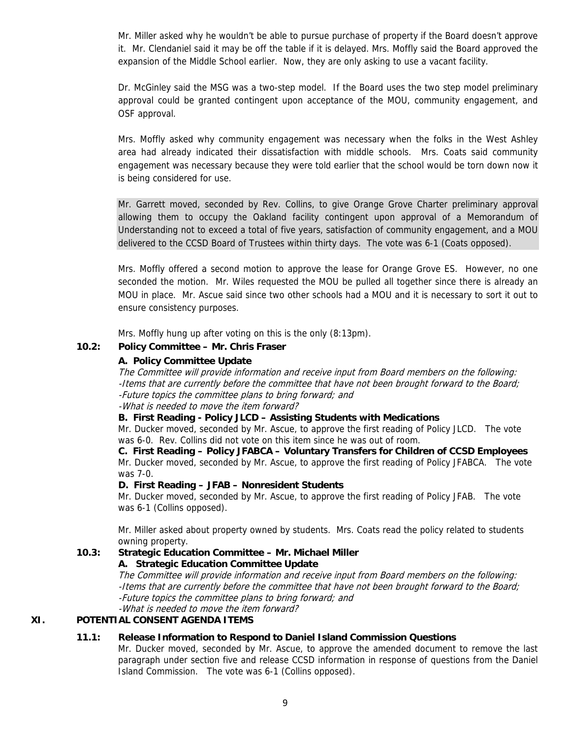Mr. Miller asked why he wouldn't be able to pursue purchase of property if the Board doesn't approve it. Mr. Clendaniel said it may be off the table if it is delayed. Mrs. Moffly said the Board approved the expansion of the Middle School earlier. Now, they are only asking to use a vacant facility.

Dr. McGinley said the MSG was a two-step model. If the Board uses the two step model preliminary approval could be granted contingent upon acceptance of the MOU, community engagement, and OSF approval.

Mrs. Moffly asked why community engagement was necessary when the folks in the West Ashley area had already indicated their dissatisfaction with middle schools. Mrs. Coats said community engagement was necessary because they were told earlier that the school would be torn down now it is being considered for use.

Mr. Garrett moved, seconded by Rev. Collins, to give Orange Grove Charter preliminary approval allowing them to occupy the Oakland facility contingent upon approval of a Memorandum of Understanding not to exceed a total of five years, satisfaction of community engagement, and a MOU delivered to the CCSD Board of Trustees within thirty days. The vote was 6-1 (Coats opposed).

Mrs. Moffly offered a second motion to approve the lease for Orange Grove ES. However, no one seconded the motion. Mr. Wiles requested the MOU be pulled all together since there is already an MOU in place. Mr. Ascue said since two other schools had a MOU and it is necessary to sort it out to ensure consistency purposes.

Mrs. Moffly hung up after voting on this is the only (8:13pm).

# **10.2: Policy Committee – Mr. Chris Fraser**

# **A. Policy Committee Update**

The Committee will provide information and receive input from Board members on the following: -Items that are currently before the committee that have not been brought forward to the Board; -Future topics the committee plans to bring forward; and -What is needed to move the item forward?

**B. First Reading - Policy JLCD – Assisting Students with Medications** 

Mr. Ducker moved, seconded by Mr. Ascue, to approve the first reading of Policy JLCD. The vote was 6-0. Rev. Collins did not vote on this item since he was out of room.

 **C. First Reading – Policy JFABCA – Voluntary Transfers for Children of CCSD Employees**  Mr. Ducker moved, seconded by Mr. Ascue, to approve the first reading of Policy JFABCA. The vote was 7-0.

# **D. First Reading – JFAB – Nonresident Students**

Mr. Ducker moved, seconded by Mr. Ascue, to approve the first reading of Policy JFAB. The vote was 6-1 (Collins opposed).

Mr. Miller asked about property owned by students. Mrs. Coats read the policy related to students owning property.

# **10.3: Strategic Education Committee – Mr. Michael Miller**

 **A. Strategic Education Committee Update**

The Committee will provide information and receive input from Board members on the following: -Items that are currently before the committee that have not been brought forward to the Board; -Future topics the committee plans to bring forward; and -What is needed to move the item forward?

# **XI. POTENTIAL CONSENT AGENDA ITEMS**

# **11.1: Release Information to Respond to Daniel Island Commission Questions**

Mr. Ducker moved, seconded by Mr. Ascue, to approve the amended document to remove the last paragraph under section five and release CCSD information in response of questions from the Daniel Island Commission. The vote was 6-1 (Collins opposed).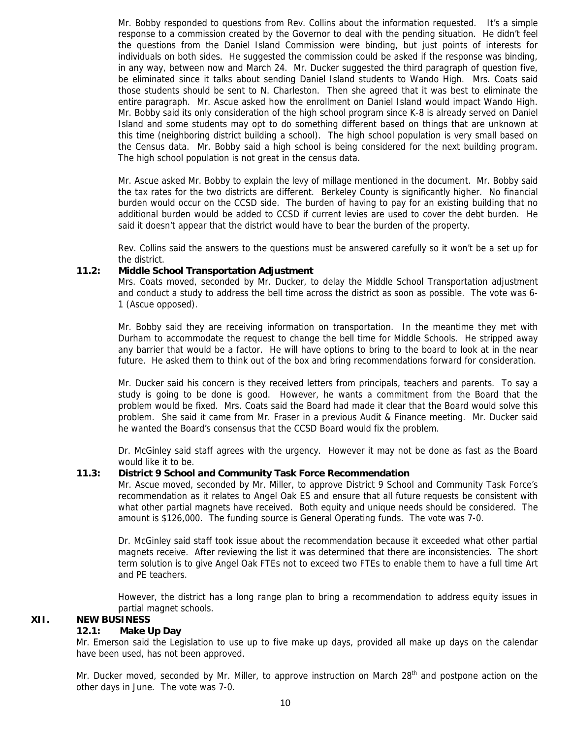Mr. Bobby responded to questions from Rev. Collins about the information requested. It's a simple response to a commission created by the Governor to deal with the pending situation. He didn't feel the questions from the Daniel Island Commission were binding, but just points of interests for individuals on both sides. He suggested the commission could be asked if the response was binding, in any way, between now and March 24. Mr. Ducker suggested the third paragraph of question five, be eliminated since it talks about sending Daniel Island students to Wando High. Mrs. Coats said those students should be sent to N. Charleston. Then she agreed that it was best to eliminate the entire paragraph. Mr. Ascue asked how the enrollment on Daniel Island would impact Wando High. Mr. Bobby said its only consideration of the high school program since K-8 is already served on Daniel Island and some students may opt to do something different based on things that are unknown at this time (neighboring district building a school). The high school population is very small based on the Census data. Mr. Bobby said a high school is being considered for the next building program. The high school population is not great in the census data.

Mr. Ascue asked Mr. Bobby to explain the levy of millage mentioned in the document. Mr. Bobby said the tax rates for the two districts are different. Berkeley County is significantly higher. No financial burden would occur on the CCSD side. The burden of having to pay for an existing building that no additional burden would be added to CCSD if current levies are used to cover the debt burden. He said it doesn't appear that the district would have to bear the burden of the property.

Rev. Collins said the answers to the questions must be answered carefully so it won't be a set up for the district.

#### **11.2: Middle School Transportation Adjustment**

Mrs. Coats moved, seconded by Mr. Ducker, to delay the Middle School Transportation adjustment and conduct a study to address the bell time across the district as soon as possible. The vote was 6- 1 (Ascue opposed).

Mr. Bobby said they are receiving information on transportation. In the meantime they met with Durham to accommodate the request to change the bell time for Middle Schools. He stripped away any barrier that would be a factor. He will have options to bring to the board to look at in the near future. He asked them to think out of the box and bring recommendations forward for consideration.

Mr. Ducker said his concern is they received letters from principals, teachers and parents. To say a study is going to be done is good. However, he wants a commitment from the Board that the problem would be fixed. Mrs. Coats said the Board had made it clear that the Board would solve this problem. She said it came from Mr. Fraser in a previous Audit & Finance meeting. Mr. Ducker said he wanted the Board's consensus that the CCSD Board would fix the problem.

Dr. McGinley said staff agrees with the urgency. However it may not be done as fast as the Board would like it to be.

#### **11.3: District 9 School and Community Task Force Recommendation**

Mr. Ascue moved, seconded by Mr. Miller, to approve District 9 School and Community Task Force's recommendation as it relates to Angel Oak ES and ensure that all future requests be consistent with what other partial magnets have received. Both equity and unique needs should be considered. The amount is \$126,000. The funding source is General Operating funds. The vote was 7-0.

Dr. McGinley said staff took issue about the recommendation because it exceeded what other partial magnets receive. After reviewing the list it was determined that there are inconsistencies. The short term solution is to give Angel Oak FTEs not to exceed two FTEs to enable them to have a full time Art and PE teachers.

However, the district has a long range plan to bring a recommendation to address equity issues in partial magnet schools.

#### **XII. NEW BUSINESS**

#### **12.1: Make Up Day**

Mr. Emerson said the Legislation to use up to five make up days, provided all make up days on the calendar have been used, has not been approved.

Mr. Ducker moved, seconded by Mr. Miller, to approve instruction on March 28<sup>th</sup> and postpone action on the other days in June. The vote was 7-0.